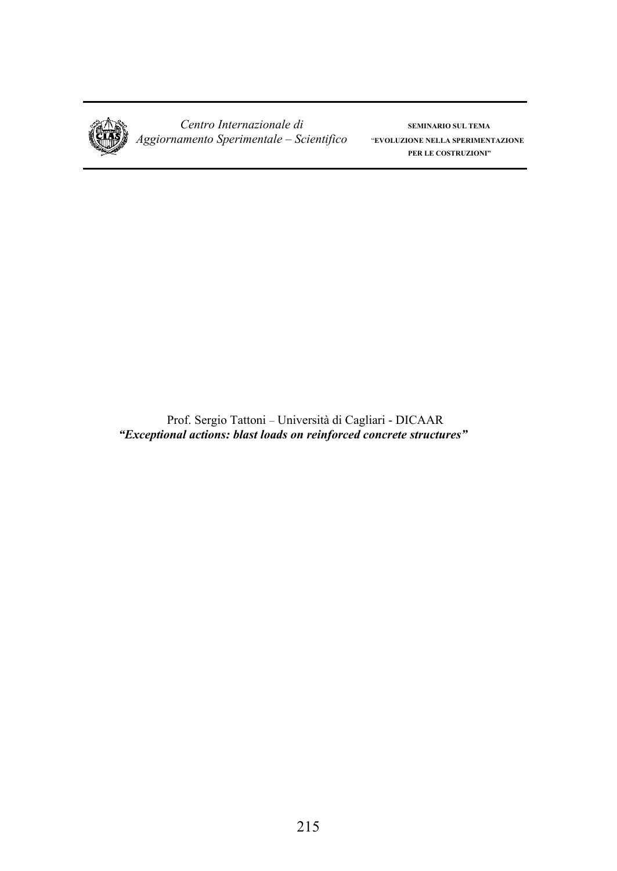

*Centro Internazionale di* **SEMINARIO SUL TEMA**  *Aggiornamento Sperimentale – Scientifico* "**EVOLUZIONE NELLA SPERIMENTAZIONE**

**PER LE COSTRUZIONI"**

Prof. Sergio Tattoni – Università di Cagliari - DICAAR *"Exceptional actions: blast loads on reinforced concrete structures"*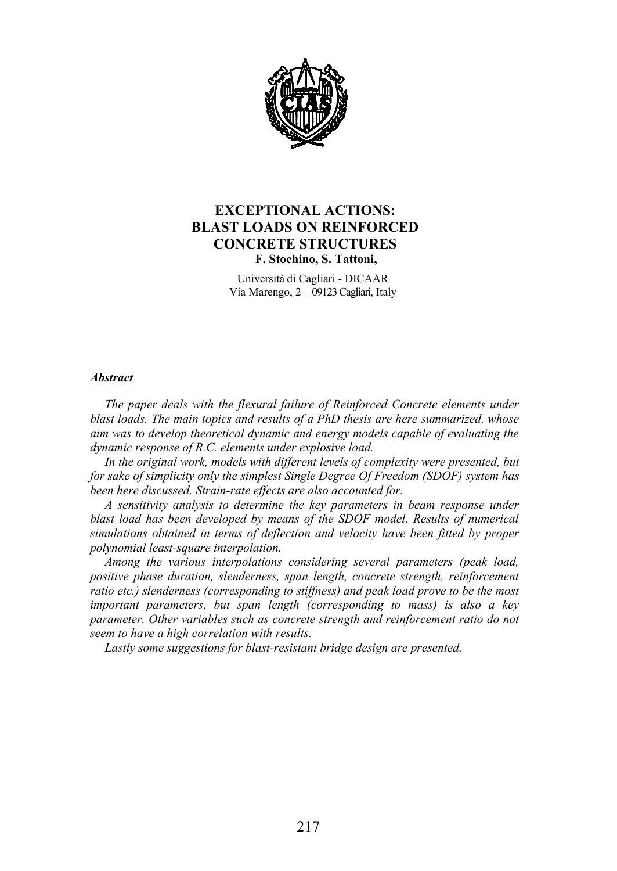

#### **EXCEPTIONAL ACTIONS: BLAST LOADS ON REINFORCED Stamatios Stathopoulos CONCRETE STRUCTURES F. Stochino, S. Tattoni,**  $\mathbf{r}$ , stochino, s. 1 attom,

Università di Cagliari - DICAAR Via Marengo, 2 – 09123 Cagliari, Italy

#### *abstract concrete).* The approach via during  $\alpha$

*The paper deals with the flexural failure of Reinforced Concrete elements under* blast loads. The main topics and results of a PhD thesis are here summarized, whose aim was to develop theoretical dynamic and energy models capable of evaluating the dynamic response of R.C. elements under explosive load. *the flexural failure of Reinforced Concrete elemer*<br>*ics and results of a PhD thesis are here summarize*<br>*etical dynamic and energy models capable of evalu f* Reinforced Concrete elements under<br>*i* PhD thesis are here summarized, whose<br><sup>*l*</sup> energy models capable of evaluating the

*In the original work, models with different levels of complexity were presented, but* for sake of simplicity only the simplest Single Degree Of Freedom (SDOF) system has *been here discussed. Strain-rate effects are also accounted for.* 

*A* sensitivity analysis to determine the key parameters in beam response under blast load has been developed by means of the SDOF model. Results of numerical<br>simulations obtained in terms of deflection and velocity have been fitted by proper *simulations obtained in terms of deflection and velocity have been fitted by proper polynomial least-square interpolation.*<br> *polynomial least-square interpolation.* 

*Among the various interpolations considering several parameters (peak load,*  $\overline{\phantom{a}}$ *) positive phase duration, slenderness, span length, concrete strength, reinforcement positive phase duration, slenderness, span length, concrete strength, reinforcement ratio etc.)* slenderness (corresponding to stiffness) and peak load prove to be the most ratio etc.) slenderness (corresponding to stiffness) and peak load prove to be the most *i* and their mess (corresponding to sufficient paid between prove to be the most important parameters, but span length (corresponding to mass) is also a key *mportant parameters, our span reingin (corresponding to mass) is also a wey* parameter. Other variables such as concrete strength and reinforcement ratio do not parameter. Other variables such as concrete<br>seem to have a high correlation with results. *Some minor damages, detected at the concrete and the inspection, intering proper*<br>*inspection, respectively, reinforcement*<br>mask load prove to be the most *carbonation do not to ao noi* 

*Lastly some suggestions for blast-resistant bridge design are presented.* Lastly some suggestions for blast-resistant bridge design are presented. *probably been aided by the cement dust from the near cement factory, which condition will results.*<br> *suggestions for blast-resistant bridge design are presented.*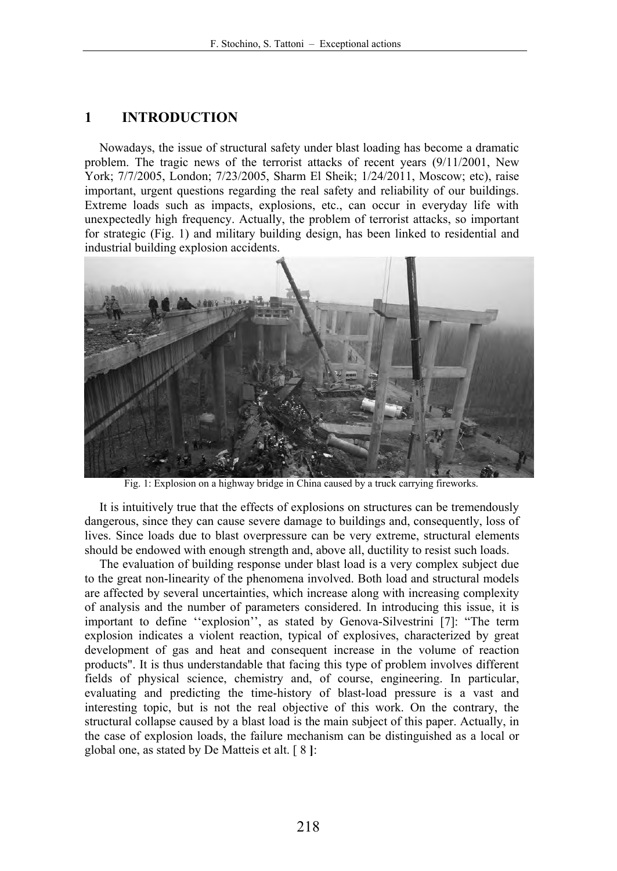## **1 INTRODUCTION**

Nowadays, the issue of structural safety under blast loading has become a dramatic problem. The tragic news of the terrorist attacks of recent years (9/11/2001, New York; 7/7/2005, London; 7/23/2005, Sharm El Sheik; 1/24/2011, Moscow; etc), raise important, urgent questions regarding the real safety and reliability of our buildings. Extreme loads such as impacts, explosions, etc., can occur in everyday life with unexpectedly high frequency. Actually, the problem of terrorist attacks, so important for strategic (Fig. 1) and military building design, has been linked to residential and industrial building explosion accidents.



Fig. 1: Explosion on a highway bridge in China caused by a truck carrying fireworks.

It is intuitively true that the effects of explosions on structures can be tremendously dangerous, since they can cause severe damage to buildings and, consequently, loss of lives. Since loads due to blast overpressure can be very extreme, structural elements should be endowed with enough strength and, above all, ductility to resist such loads.

The evaluation of building response under blast load is a very complex subject due to the great non-linearity of the phenomena involved. Both load and structural models are affected by several uncertainties, which increase along with increasing complexity of analysis and the number of parameters considered. In introducing this issue, it is important to define ''explosion'', as stated by Genova-Silvestrini [7]: "The term explosion indicates a violent reaction, typical of explosives, characterized by great development of gas and heat and consequent increase in the volume of reaction products". It is thus understandable that facing this type of problem involves different fields of physical science, chemistry and, of course, engineering. In particular, evaluating and predicting the time-history of blast-load pressure is a vast and interesting topic, but is not the real objective of this work. On the contrary, the structural collapse caused by a blast load is the main subject of this paper. Actually, in the case of explosion loads, the failure mechanism can be distinguished as a local or global one, as stated by De Matteis et alt. [ 8 **]**: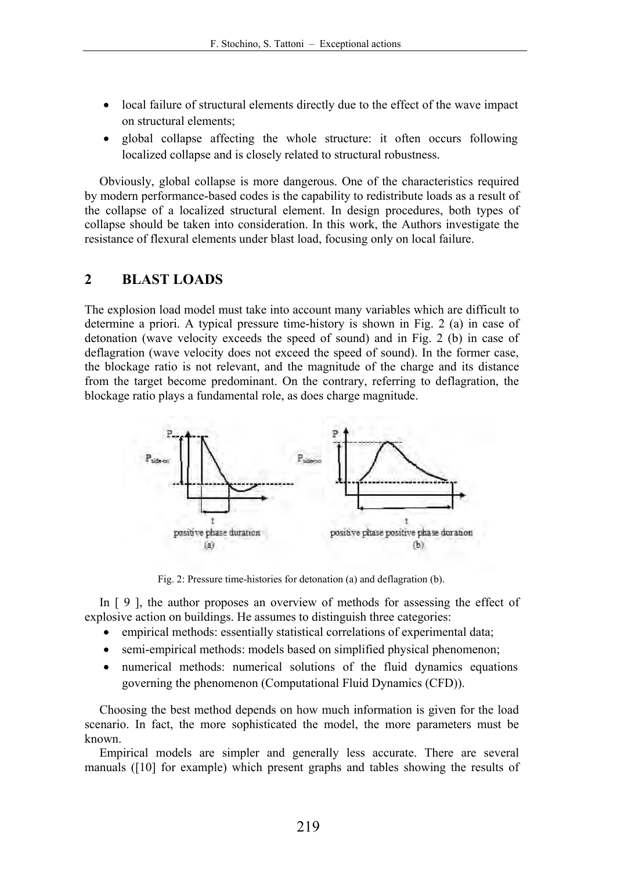- local failure of structural elements directly due to the effect of the wave impact on structural elements;
- global collapse affecting the whole structure: it often occurs following localized collapse and is closely related to structural robustness.

Obviously, global collapse is more dangerous. One of the characteristics required by modern performance-based codes is the capability to redistribute loads as a result of the collapse of a localized structural element. In design procedures, both types of collapse should be taken into consideration. In this work, the Authors investigate the resistance of flexural elements under blast load, focusing only on local failure.

## **2 BLAST LOADS**

The explosion load model must take into account many variables which are difficult to determine a priori. A typical pressure time-history is shown in Fig. 2 (a) in case of detonation (wave velocity exceeds the speed of sound) and in Fig. 2 (b) in case of deflagration (wave velocity does not exceed the speed of sound). In the former case, the blockage ratio is not relevant, and the magnitude of the charge and its distance from the target become predominant. On the contrary, referring to deflagration, the blockage ratio plays a fundamental role, as does charge magnitude.



Fig. 2: Pressure time-histories for detonation (a) and deflagration (b).

In  $\lceil 9 \rceil$ , the author proposes an overview of methods for assessing the effect of explosive action on buildings. He assumes to distinguish three categories:

- empirical methods: essentially statistical correlations of experimental data;
- semi-empirical methods: models based on simplified physical phenomenon;
- numerical methods: numerical solutions of the fluid dynamics equations governing the phenomenon (Computational Fluid Dynamics (CFD)).

Choosing the best method depends on how much information is given for the load scenario. In fact, the more sophisticated the model, the more parameters must be known.

Empirical models are simpler and generally less accurate. There are several manuals ([10] for example) which present graphs and tables showing the results of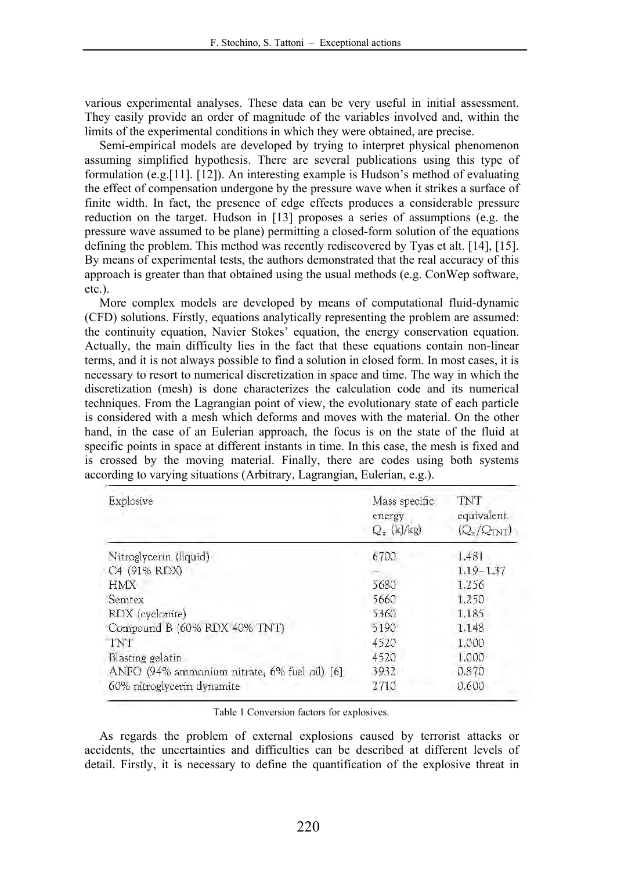various experimental analyses. These data can be very useful in initial assessment. They easily provide an order of magnitude of the variables involved and, within the limits of the experimental conditions in which they were obtained, are precise.

Semi-empirical models are developed by trying to interpret physical phenomenon assuming simplified hypothesis. There are several publications using this type of formulation (e.g.[11]. [12]). An interesting example is Hudson's method of evaluating the effect of compensation undergone by the pressure wave when it strikes a surface of finite width. In fact, the presence of edge effects produces a considerable pressure reduction on the target. Hudson in [13] proposes a series of assumptions (e.g. the pressure wave assumed to be plane) permitting a closed-form solution of the equations defining the problem. This method was recently rediscovered by Tyas et alt. [14], [15]. By means of experimental tests, the authors demonstrated that the real accuracy of this approach is greater than that obtained using the usual methods (e.g. ConWep software, etc.).

More complex models are developed by means of computational fluid-dynamic (CFD) solutions. Firstly, equations analytically representing the problem are assumed: the continuity equation, Navier Stokes' equation, the energy conservation equation. Actually, the main difficulty lies in the fact that these equations contain non-linear terms, and it is not always possible to find a solution in closed form. In most cases, it is necessary to resort to numerical discretization in space and time. The way in which the discretization (mesh) is done characterizes the calculation code and its numerical techniques. From the Lagrangian point of view, the evolutionary state of each particle is considered with a mesh which deforms and moves with the material. On the other hand, in the case of an Eulerian approach, the focus is on the state of the fluid at specific points in space at different instants in time. In this case, the mesh is fixed and is crossed by the moving material. Finally, there are codes using both systems according to varying situations (Arbitrary, Lagrangian, Eulerian, e.g.).

| Explosive                                    | Mass specific<br>energy<br>$Q_x$ (kJ/kg) | TNT<br>equivalent<br>$(Q_x/Q_{TNT})$ |
|----------------------------------------------|------------------------------------------|--------------------------------------|
| Nitroglycerin (liquid)                       | 6700                                     | 1.481                                |
| C4 (91% RDX)                                 |                                          | $1.19 - 1.37$                        |
| <b>HMX</b>                                   | 5680                                     | 1.256                                |
| Semtex                                       | 5660                                     | 1.250                                |
| RDX (cyclonite)                              | 5360                                     | 1,185                                |
| Compound B (60% RDX 40% TNT)                 | 5190                                     | 1.148                                |
| TNT                                          | 4520                                     | 1.000                                |
| Blasting gelatin                             | 4520                                     | 1.000                                |
| ANFO (94% ammonium nitrate, 6% fuel oil) [6] | 3932                                     | 0.870                                |
| 60% nitroglycerin dynamite                   | 2710                                     | 0.600                                |

#### Table 1 Conversion factors for explosives.

As regards the problem of external explosions caused by terrorist attacks or accidents, the uncertainties and difficulties can be described at different levels of detail. Firstly, it is necessary to define the quantification of the explosive threat in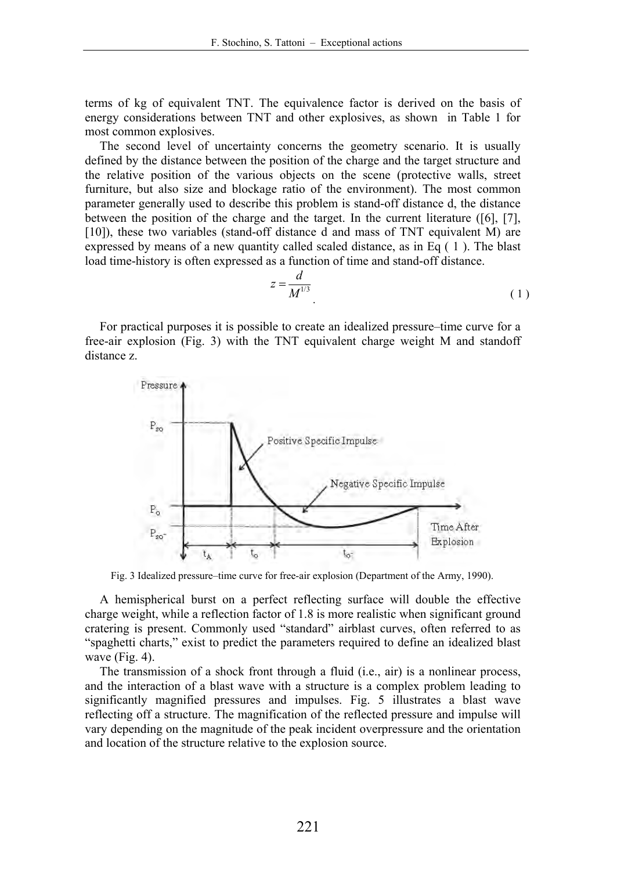terms of kg of equivalent TNT. The equivalence factor is derived on the basis of energy considerations between TNT and other explosives, as shown in Table 1 for most common explosives.

The second level of uncertainty concerns the geometry scenario. It is usually defined by the distance between the position of the charge and the target structure and the relative position of the various objects on the scene (protective walls, street furniture, but also size and blockage ratio of the environment). The most common parameter generally used to describe this problem is stand-off distance d, the distance between the position of the charge and the target. In the current literature ([6], [7], [10]), these two variables (stand-off distance d and mass of TNT equivalent M) are expressed by means of a new quantity called scaled distance, as in Eq ( 1 ). The blast load time-history is often expressed as a function of time and stand-off distance.

$$
z = \frac{d}{M^{1/3}}\tag{1}
$$

For practical purposes it is possible to create an idealized pressure–time curve for a free-air explosion (Fig. 3) with the TNT equivalent charge weight M and standoff distance z.



Fig. 3 Idealized pressure–time curve for free-air explosion (Department of the Army, 1990).

A hemispherical burst on a perfect reflecting surface will double the effective charge weight, while a reflection factor of 1.8 is more realistic when significant ground cratering is present. Commonly used "standard" airblast curves, often referred to as "spaghetti charts," exist to predict the parameters required to define an idealized blast wave (Fig. 4).

The transmission of a shock front through a fluid (i.e., air) is a nonlinear process, and the interaction of a blast wave with a structure is a complex problem leading to significantly magnified pressures and impulses. Fig. 5 illustrates a blast wave reflecting off a structure. The magnification of the reflected pressure and impulse will vary depending on the magnitude of the peak incident overpressure and the orientation and location of the structure relative to the explosion source.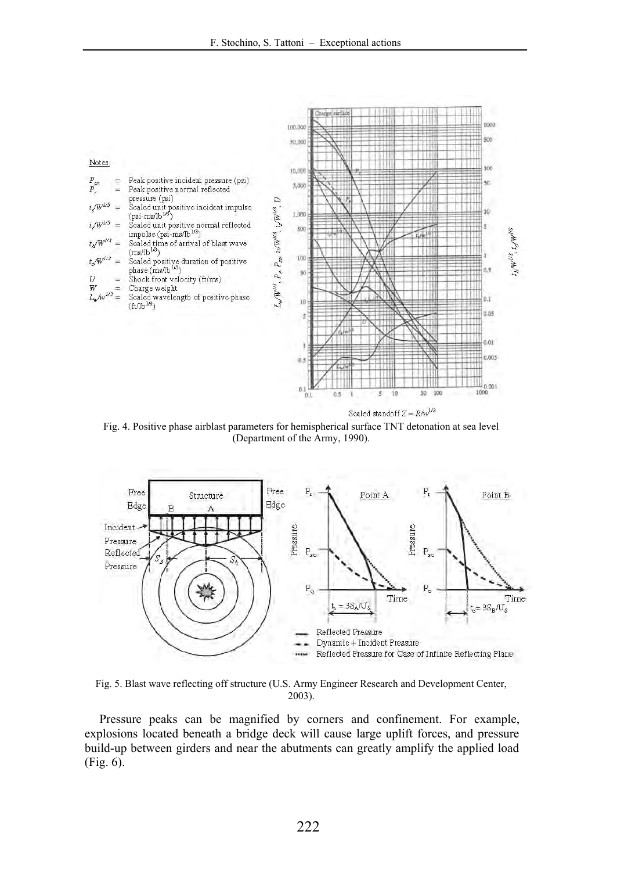

Fig. 4. Positive phase airblast parameters for hemispherical surface TNT detonation at sea level (Department of the Army, 1990).



Fig. 5. Blast wave reflecting off structure (U.S. Army Engineer Research and Development Center, 2003).

Pressure peaks can be magnified by corners and confinement. For example, explosions located beneath a bridge deck will cause large uplift forces, and pressure build-up between girders and near the abutments can greatly amplify the applied load (Fig. 6).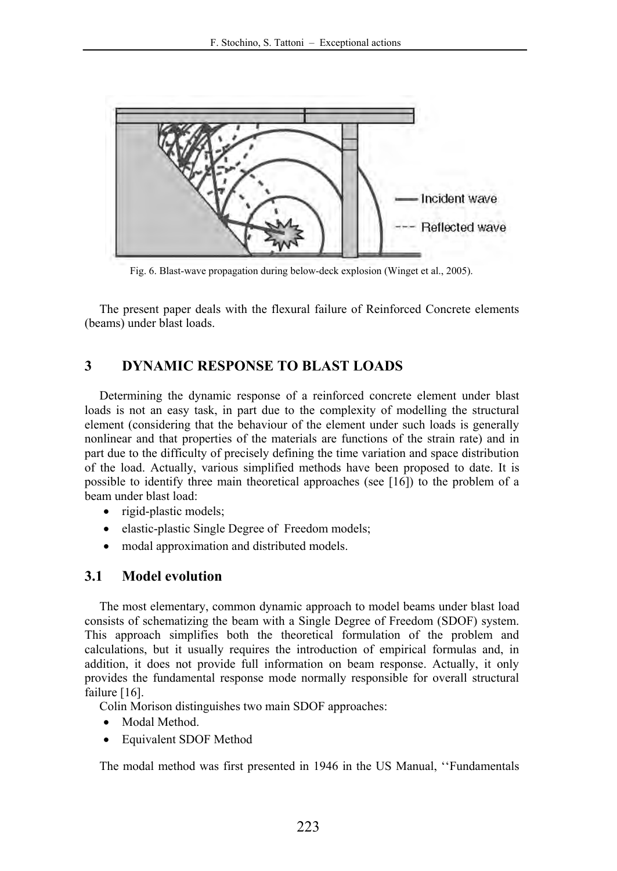

Fig. 6. Blast-wave propagation during below-deck explosion (Winget et al., 2005).

The present paper deals with the flexural failure of Reinforced Concrete elements (beams) under blast loads.

## **3 DYNAMIC RESPONSE TO BLAST LOADS**

Determining the dynamic response of a reinforced concrete element under blast loads is not an easy task, in part due to the complexity of modelling the structural element (considering that the behaviour of the element under such loads is generally nonlinear and that properties of the materials are functions of the strain rate) and in part due to the difficulty of precisely defining the time variation and space distribution of the load. Actually, various simplified methods have been proposed to date. It is possible to identify three main theoretical approaches (see [16]) to the problem of a beam under blast load:

- rigid-plastic models;
- elastic-plastic Single Degree of Freedom models;
- modal approximation and distributed models.

## **3.1 Model evolution**

The most elementary, common dynamic approach to model beams under blast load consists of schematizing the beam with a Single Degree of Freedom (SDOF) system. This approach simplifies both the theoretical formulation of the problem and calculations, but it usually requires the introduction of empirical formulas and, in addition, it does not provide full information on beam response. Actually, it only provides the fundamental response mode normally responsible for overall structural failure [16].

Colin Morison distinguishes two main SDOF approaches:

- Modal Method.
- Equivalent SDOF Method

The modal method was first presented in 1946 in the US Manual, ''Fundamentals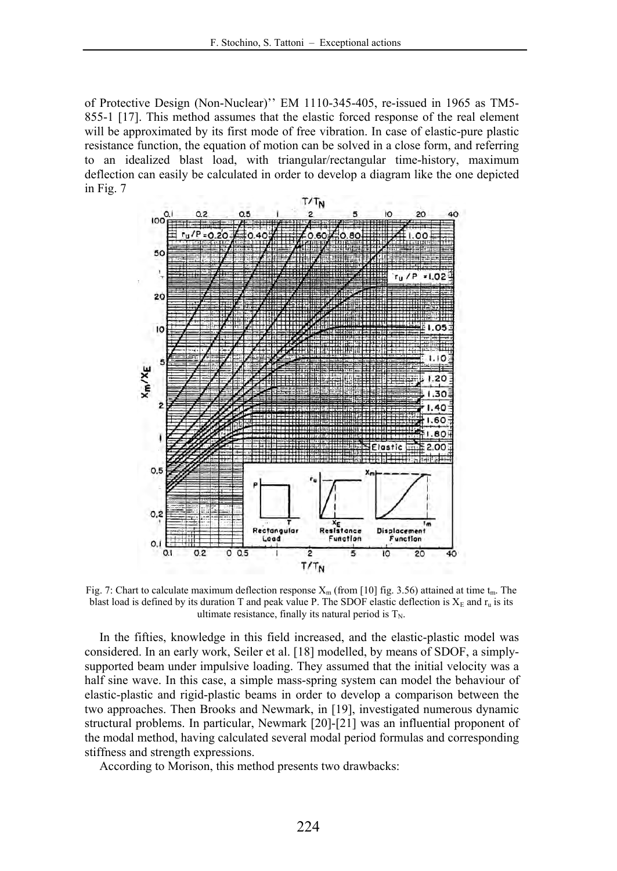of Protective Design (Non-Nuclear)'' EM 1110-345-405, re-issued in 1965 as TM5- 855-1 [17]. This method assumes that the elastic forced response of the real element will be approximated by its first mode of free vibration. In case of elastic-pure plastic resistance function, the equation of motion can be solved in a close form, and referring to an idealized blast load, with triangular/rectangular time-history, maximum deflection can easily be calculated in order to develop a diagram like the one depicted in Fig. 7



Fig. 7: Chart to calculate maximum deflection response  $X_m$  (from [10] fig. 3.56) attained at time  $t_m$ . The blast load is defined by its duration T and peak value P. The SDOF elastic deflection is  $X_E$  and  $r_u$  is its ultimate resistance, finally its natural period is  $T_N$ .

In the fifties, knowledge in this field increased, and the elastic-plastic model was considered. In an early work, Seiler et al. [18] modelled, by means of SDOF, a simplysupported beam under impulsive loading. They assumed that the initial velocity was a half sine wave. In this case, a simple mass-spring system can model the behaviour of elastic-plastic and rigid-plastic beams in order to develop a comparison between the two approaches. Then Brooks and Newmark, in [19], investigated numerous dynamic structural problems. In particular, Newmark [20]-[21] was an influential proponent of the modal method, having calculated several modal period formulas and corresponding stiffness and strength expressions.

According to Morison, this method presents two drawbacks: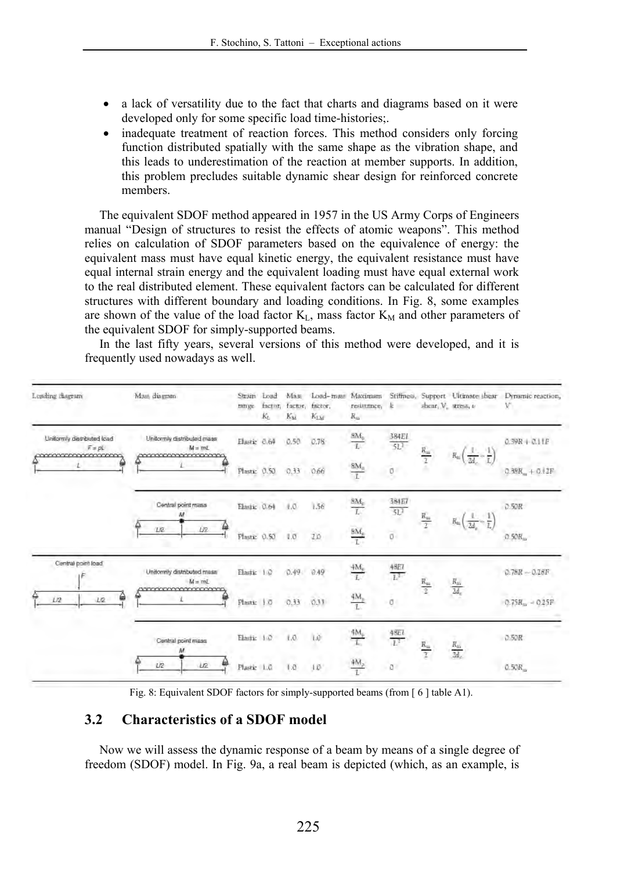- a lack of versatility due to the fact that charts and diagrams based on it were developed only for some specific load time-histories;.
- inadequate treatment of reaction forces. This method considers only forcing function distributed spatially with the same shape as the vibration shape, and this leads to underestimation of the reaction at member supports. In addition, this problem precludes suitable dynamic shear design for reinforced concrete members.

The equivalent SDOF method appeared in 1957 in the US Army Corps of Engineers manual "Design of structures to resist the effects of atomic weapons". This method relies on calculation of SDOF parameters based on the equivalence of energy: the equivalent mass must have equal kinetic energy, the equivalent resistance must have equal internal strain energy and the equivalent loading must have equal external work to the real distributed element. These equivalent factors can be calculated for different structures with different boundary and loading conditions. In Fig. 8, some examples are shown of the value of the load factor  $K_{L}$ , mass factor  $K_{M}$  and other parameters of the equivalent SDOF for simply-supported beams.

In the last fifty years, several versions of this method were developed, and it is frequently used nowadays as well.

| Loading diagram                                                             | Mass diagram                                                     | Strain<br>range | Load<br>Kr. | Mas<br>factor, factor,<br>Ku | Load-mass<br>factor.<br>$K_{\text{LM}}$ | resistance,<br>$R_{\rm m}$     | k                  | shear, V. stress, v.                                    | Maximum Stiffness, Support Ultimate shear<br>m. | Dynamic reaction,<br>V. |
|-----------------------------------------------------------------------------|------------------------------------------------------------------|-----------------|-------------|------------------------------|-----------------------------------------|--------------------------------|--------------------|---------------------------------------------------------|-------------------------------------------------|-------------------------|
| Uniformly distributed load<br>$F = pL$<br>mannan<br><b><i>NYKYYYYYY</i></b> | Unitornly distributed mass<br>$M = mL$<br>********************** | Elastic 0.64    |             | 0.50                         | 0.76                                    | $\frac{\text{SM}_0}{L}$        | 384E1<br>511       | $R_{\rm m}$                                             | $R_{\rm w}$                                     | $0.39R + 0.11P$         |
|                                                                             |                                                                  | Plastic 0.50    |             | 0.33                         | 0.66                                    | $\frac{8M_{0}}{L}$             | O                  |                                                         |                                                 | $0.38R_m + 0.12F$       |
|                                                                             | Central point mass                                               | Elastic 0.64    |             | 1.0                          | 1.56                                    | $\frac{8 M_0}{L}$              | <b>384E7</b><br>51 |                                                         |                                                 | 0.50R                   |
|                                                                             | U2<br><b>LE</b>                                                  | Plastic         | 0.50        | 1.0                          | 2.0                                     | $\frac{\text{BM}_0}{\text{I}}$ | $\sigma$           | $\frac{R_{\rm m}}{2}$<br>$R_{m}$                        |                                                 | $0.50R_{\rm m}$         |
| Central point load<br>L/2<br>L2                                             | Uniformly distributed mass<br>$M = mL$                           | Elastic 1:0     |             | 0.49                         | 0.49                                    | $\frac{4M_{\rm e}}{L}$         | $\frac{48EI}{L^2}$ | $\frac{R_{\rm m}}{2}$<br>$\frac{R_{\rm m}}{2d_{\rm c}}$ | $0.78R - 0.18F$                                 |                         |
|                                                                             | <b>WEIGHT COMMANDED WATER</b>                                    | Plastic         | 1.0         | 0.33                         | 0.33                                    | $\frac{4M_{\rm B}}{1}$         | g                  |                                                         |                                                 | $0.75R_{\rm m} = 0.25F$ |
|                                                                             | Central point mass                                               | Elastic 1.0     |             | 1.0.                         | LÖ                                      | $\frac{4M_{\rm p}}{L}$         | $\frac{4SEL}{L^2}$ |                                                         |                                                 | 0.50R                   |
|                                                                             | м<br>U2<br><b>UR</b>                                             | Plastic 1.0     |             | 1.0                          | $10^{\circ}$                            |                                | $\overline{a}$     | $\frac{R_m}{2}$                                         | $\frac{R_{\rm in}}{2d_c}$                       | $0.50R_m$               |

Fig. 8: Equivalent SDOF factors for simply-supported beams (from [ 6 ] table A1).

## **3.2 Characteristics of a SDOF model**

Now we will assess the dynamic response of a beam by means of a single degree of freedom (SDOF) model. In Fig. 9a, a real beam is depicted (which, as an example, is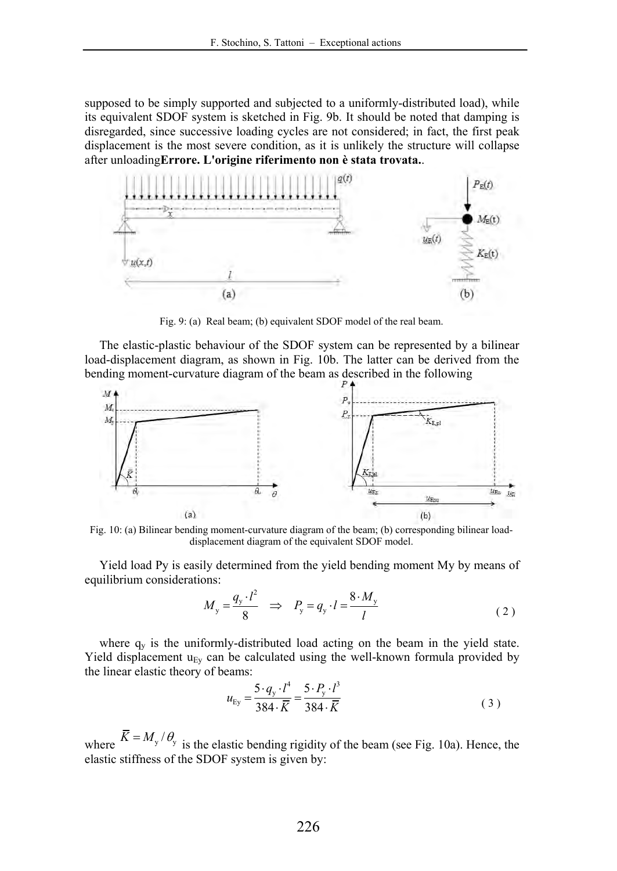supposed to be simply supported and subjected to a uniformly-distributed load), while its equivalent SDOF system is sketched in Fig. 9b. It should be noted that damping is disregarded, since successive loading cycles are not considered; in fact, the first peak displacement is the most severe condition, as it is unlikely the structure will collapse after unloading**Errore. L'origine riferimento non è stata trovata.**.



Fig. 9: (a) Real beam; (b) equivalent SDOF model of the real beam.

The elastic-plastic behaviour of the SDOF system can be represented by a bilinear load-displacement diagram, as shown in Fig. 10b. The latter can be derived from the bending moment-curvature diagram of the beam as described in the following



Fig. 10: (a) Bilinear bending moment-curvature diagram of the beam; (b) corresponding bilinear loaddisplacement diagram of the equivalent SDOF model.

Yield load Py is easily determined from the yield bending moment My by means of equilibrium considerations:

$$
M_{y} = \frac{q_{y} \cdot l^{2}}{8} \Rightarrow P_{y} = q_{y} \cdot l = \frac{8 \cdot M_{y}}{l}
$$
 (2)

where  $q_v$  is the uniformly-distributed load acting on the beam in the yield state. Yield displacement  $u_{Ev}$  can be calculated using the well-known formula provided by the linear elastic theory of beams:

$$
u_{\rm Ey} = \frac{5 \cdot q_{\rm y} \cdot l^4}{384 \cdot \overline{K}} = \frac{5 \cdot P_{\rm y} \cdot l^3}{384 \cdot \overline{K}}
$$
 (3)

where  $\overline{K} = M_y / \theta_y$  is the elastic bending rigidity of the beam (see Fig. 10a). Hence, the elastic stiffness of the SDOF system is given by: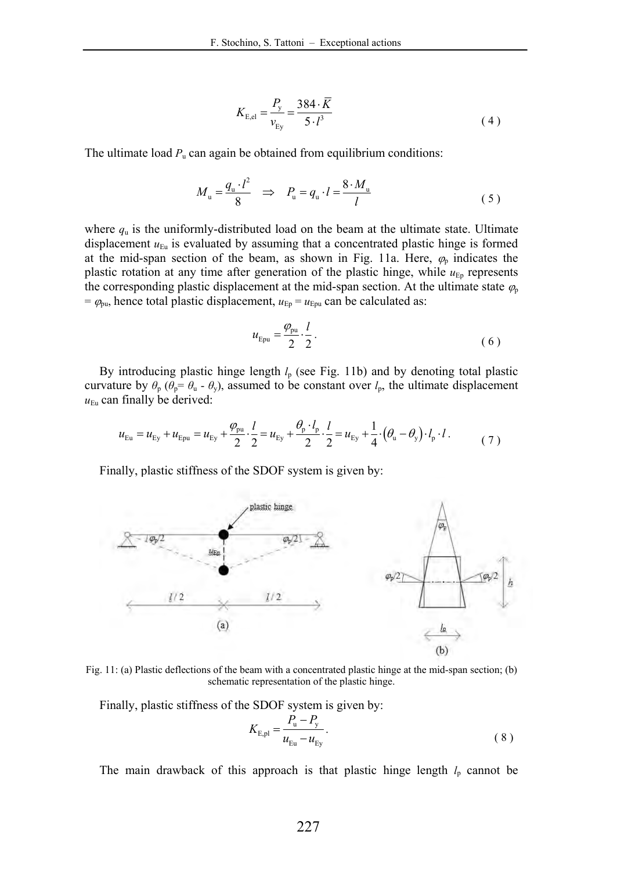$$
K_{\rm E,el} = \frac{P_{\rm y}}{v_{\rm Ey}} = \frac{384 \cdot \overline{K}}{5 \cdot l^3}
$$
 (4)

The ultimate load  $P_u$  can again be obtained from equilibrium conditions:

$$
M_{\rm u} = \frac{q_{\rm u} \cdot l^2}{8} \Rightarrow P_{\rm u} = q_{\rm u} \cdot l = \frac{8 \cdot M_{\rm u}}{l} \tag{5}
$$

where  $q_u$  is the uniformly-distributed load on the beam at the ultimate state. Ultimate displacement  $u_{Eu}$  is evaluated by assuming that a concentrated plastic hinge is formed at the mid-span section of the beam, as shown in Fig. 11a. Here,  $\varphi_p$  indicates the plastic rotation at any time after generation of the plastic hinge, while  $u_{Ep}$  represents the corresponding plastic displacement at the mid-span section. At the ultimate state  $\varphi$  $= \varphi_{\text{pu}}$ , hence total plastic displacement,  $u_{\text{Ep}} = u_{\text{Epu}}$  can be calculated as:

$$
u_{\rm Epu} = \frac{\varphi_{\rm pu}}{2} \cdot \frac{l}{2} \,. \tag{6}
$$

By introducing plastic hinge length  $l_p$  (see Fig. 11b) and by denoting total plastic curvature by  $\theta_p$  ( $\theta_p = \theta_u - \theta_v$ ), assumed to be constant over  $l_p$ , the ultimate displacement  $u_{Eu}$  can finally be derived:

$$
u_{Eu} = u_{Ey} + u_{Ey} = u_{Ey} + \frac{\varphi_{pu}}{2} \cdot \frac{l}{2} = u_{Ey} + \frac{\varphi_p \cdot l_p}{2} \cdot \frac{l}{2} = u_{Ey} + \frac{1}{4} \cdot (\theta_u - \theta_y) \cdot l_p \cdot l \tag{7}
$$

Finally, plastic stiffness of the SDOF system is given by:



Fig. 11: (a) Plastic deflections of the beam with a concentrated plastic hinge at the mid-span section; (b) schematic representation of the plastic hinge.

Finally, plastic stiffness of the SDOF system is given by:

$$
K_{E,pl} = \frac{P_u - P_y}{u_{Eu} - u_{Ey}}.
$$
\n(8)

The main drawback of this approach is that plastic hinge length  $l_p$  cannot be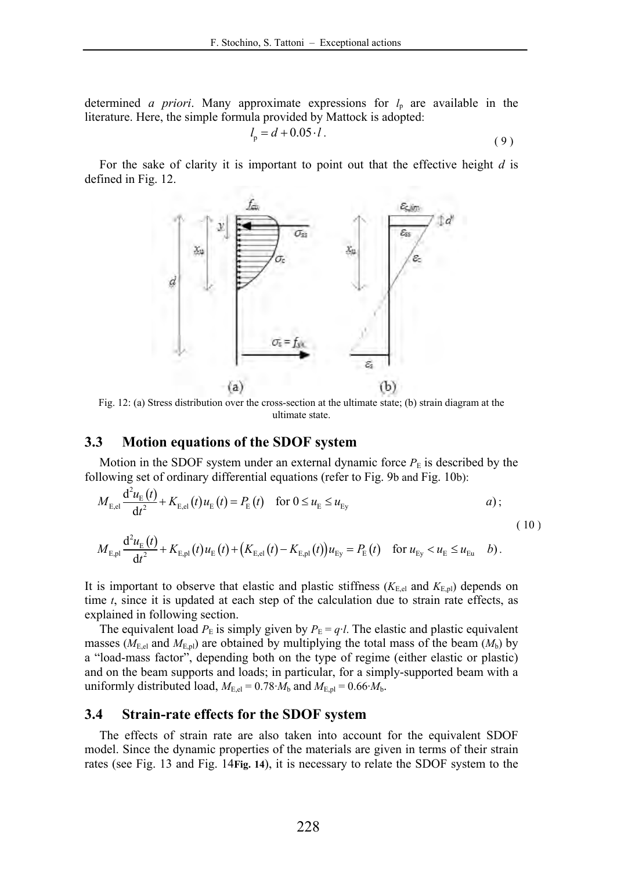determined *a priori*. Many approximate expressions for  $l_p$  are available in the literature. Here, the simple formula provided by Mattock is adopted:

$$
l_{\rm p} = d + 0.05 \cdot l \tag{9}
$$

For the sake of clarity it is important to point out that the effective height *d* is defined in Fig. 12.



Fig. 12: (a) Stress distribution over the cross-section at the ultimate state; (b) strain diagram at the ultimate state.

#### **3.3 Motion equations of the SDOF system**

Motion in the SDOF system under an external dynamic force  $P<sub>E</sub>$  is described by the following set of ordinary differential equations (refer to Fig. 9b and Fig. 10b):

$$
M_{E,el} \frac{d^2 u_E(t)}{dt^2} + K_{E,el}(t) u_E(t) = P_E(t) \quad \text{for } 0 \le u_E \le u_{Ey} \tag{10}
$$

$$
M_{E,pl} \frac{d^2 u_E(t)}{dt^2} + K_{E,pl}(t) u_E(t) + (K_{E,el}(t) - K_{E,pl}(t)) u_{Ey} = P_E(t) \text{ for } u_{Ey} < u_E \le u_{Eu} \text{ b}.
$$

It is important to observe that elastic and plastic stiffness  $(K_{E,el}$  and  $K_{E,pl}$ ) depends on time *t*, since it is updated at each step of the calculation due to strain rate effects, as explained in following section.

The equivalent load  $P_{\rm E}$  is simply given by  $P_{\rm E} = q \cdot l$ . The elastic and plastic equivalent masses ( $M_{\text{E,el}}$  and  $M_{\text{E,pl}}$ ) are obtained by multiplying the total mass of the beam ( $M_{\text{b}}$ ) by a "load-mass factor", depending both on the type of regime (either elastic or plastic) and on the beam supports and loads; in particular, for a simply-supported beam with a uniformly distributed load,  $M_{\text{E,el}} = 0.78 \cdot M_{\text{b}}$  and  $M_{\text{E,pl}} = 0.66 \cdot M_{\text{b}}$ .

#### **3.4 Strain-rate effects for the SDOF system**

The effects of strain rate are also taken into account for the equivalent SDOF model. Since the dynamic properties of the materials are given in terms of their strain rates (see Fig. 13 and Fig. 14**Fig. 14**), it is necessary to relate the SDOF system to the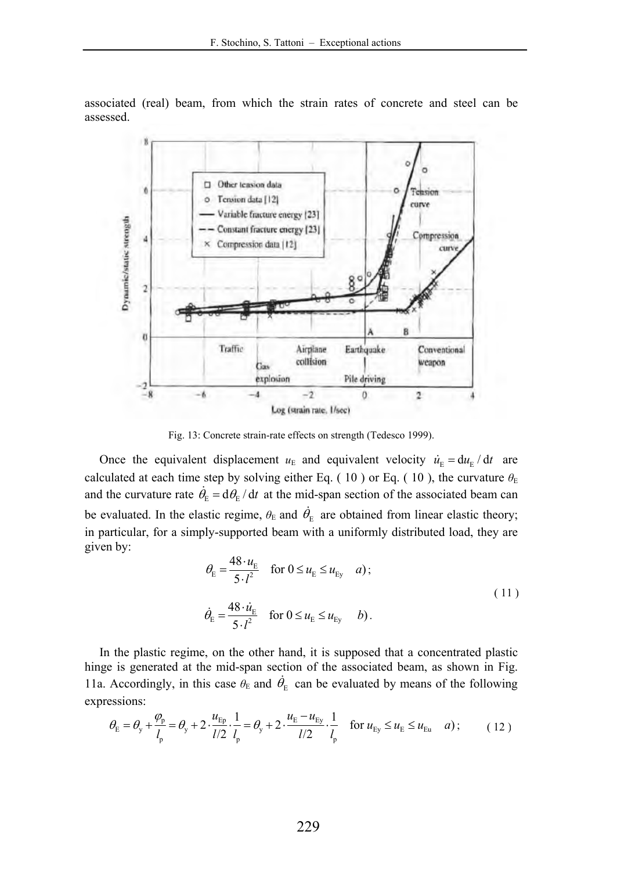associated (real) beam, from which the strain rates of concrete and steel can be assessed.



Fig. 13: Concrete strain-rate effects on strength (Tedesco 1999).

Once the equivalent displacement  $u_E$  and equivalent velocity  $\dot{u}_E = du_E / dt$  are calculated at each time step by solving either Eq. (10) or Eq. (10), the curvature  $\theta_{\rm E}$ and the curvature rate  $\dot{\theta}_{E} = d\theta_{E} / dt$  at the mid-span section of the associated beam can be evaluated. In the elastic regime,  $\theta_{\rm E}$  and  $\dot{\theta}_{\rm E}$  are obtained from linear elastic theory; in particular, for a simply-supported beam with a uniformly distributed load, they are given by:

$$
\theta_{\rm E} = \frac{48 \cdot u_{\rm E}}{5 \cdot l^2} \quad \text{for } 0 \le u_{\rm E} \le u_{\rm Ey} \quad a);
$$
\n
$$
\dot{\theta}_{\rm E} = \frac{48 \cdot \dot{u}_{\rm E}}{5 \cdot l^2} \quad \text{for } 0 \le u_{\rm E} \le u_{\rm Ey} \quad b).
$$
\n(11)

In the plastic regime, on the other hand, it is supposed that a concentrated plastic hinge is generated at the mid-span section of the associated beam, as shown in Fig. 11a. Accordingly, in this case  $\theta_E$  and  $\dot{\theta}_E$  can be evaluated by means of the following expressions:

$$
\theta_{\rm E} = \theta_{\rm y} + \frac{\varphi_{\rm p}}{l_{\rm p}} = \theta_{\rm y} + 2 \cdot \frac{u_{\rm Ep}}{l/2} \cdot \frac{1}{l_{\rm p}} = \theta_{\rm y} + 2 \cdot \frac{u_{\rm E} - u_{\rm Ey}}{l/2} \cdot \frac{1}{l_{\rm p}} \quad \text{for } u_{\rm Ey} \le u_{\rm E} \le u_{\rm Eu} \quad a\text{ ;} \tag{12}
$$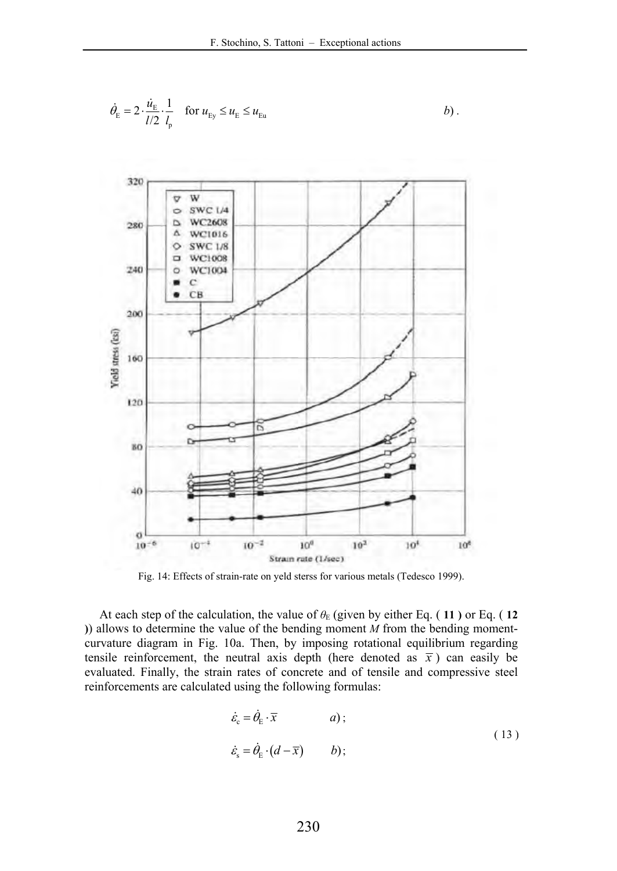$$
\dot{\theta}_{\rm E} = 2 \cdot \frac{\dot{u}_{\rm E}}{l/2} \cdot \frac{1}{l_{\rm p}} \quad \text{for } u_{\rm Ey} \le u_{\rm E} \le u_{\rm Eu}
$$



Fig. 14: Effects of strain-rate on yeld sterss for various metals (Tedesco 1999).

At each step of the calculation, the value of  $\theta_E$  (given by either Eq. (11) or Eq. (12) **)**) allows to determine the value of the bending moment *M* from the bending momentcurvature diagram in Fig. 10a. Then, by imposing rotational equilibrium regarding tensile reinforcement, the neutral axis depth (here denoted as  $\bar{x}$ ) can easily be evaluated. Finally, the strain rates of concrete and of tensile and compressive steel reinforcements are calculated using the following formulas:

$$
\dot{\varepsilon}_{\rm c} = \dot{\theta}_{\rm E} \cdot \overline{x} \qquad \qquad a);
$$
\n
$$
\dot{\varepsilon}_{\rm s} = \dot{\theta}_{\rm E} \cdot (d - \overline{x}) \qquad \qquad b); \tag{13}
$$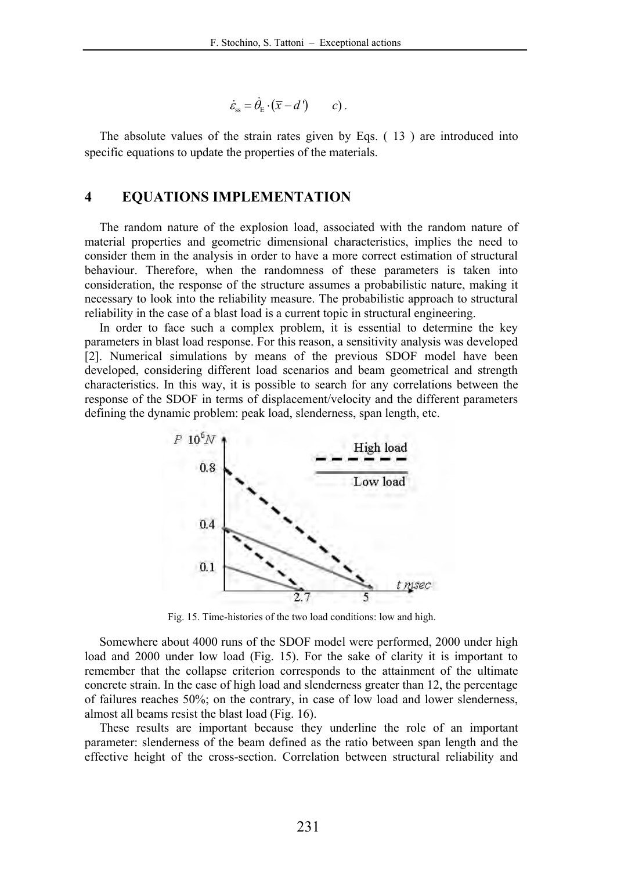$$
\dot{\varepsilon}_{ss} = \dot{\theta}_{E} \cdot (\overline{x} - d') \qquad c).
$$

The absolute values of the strain rates given by Eqs. ( 13 ) are introduced into specific equations to update the properties of the materials.

#### **4 EQUATIONS IMPLEMENTATION**

The random nature of the explosion load, associated with the random nature of material properties and geometric dimensional characteristics, implies the need to consider them in the analysis in order to have a more correct estimation of structural behaviour. Therefore, when the randomness of these parameters is taken into consideration, the response of the structure assumes a probabilistic nature, making it necessary to look into the reliability measure. The probabilistic approach to structural reliability in the case of a blast load is a current topic in structural engineering.

In order to face such a complex problem, it is essential to determine the key parameters in blast load response. For this reason, a sensitivity analysis was developed [2]. Numerical simulations by means of the previous SDOF model have been developed, considering different load scenarios and beam geometrical and strength characteristics. In this way, it is possible to search for any correlations between the response of the SDOF in terms of displacement/velocity and the different parameters defining the dynamic problem: peak load, slenderness, span length, etc.



Fig. 15. Time-histories of the two load conditions: low and high.

Somewhere about 4000 runs of the SDOF model were performed, 2000 under high load and 2000 under low load (Fig. 15). For the sake of clarity it is important to remember that the collapse criterion corresponds to the attainment of the ultimate concrete strain. In the case of high load and slenderness greater than 12, the percentage of failures reaches 50%; on the contrary, in case of low load and lower slenderness, almost all beams resist the blast load (Fig. 16).

These results are important because they underline the role of an important parameter: slenderness of the beam defined as the ratio between span length and the effective height of the cross-section. Correlation between structural reliability and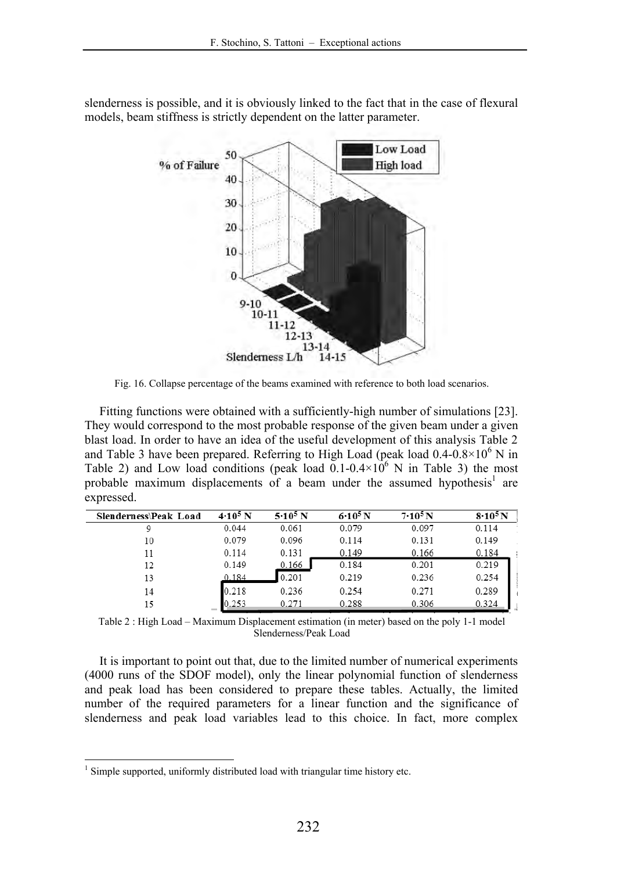

 $9 - 10$  $10-11$  $11 - 12$  $12 - 13$  $13 - 14$ 

Slenderness L/h

slenderness is possible, and it is obviously linked to the fact that in the case of flexural models, beam stiffness is strictly dependent on the latter parameter.

Fig. 16. Collapse percentage of the beams examined with reference to both load scenarios.

 $14 - 15$ 

Fitting functions were obtained with a sufficiently-high number of simulations [23]. They would correspond to the most probable response of the given beam under a given blast load. In order to have an idea of the useful development of this analysis Table 2 and Table 3 have been prepared. Referring to High Load (peak load  $0.4$ - $0.8 \times 10^6$  N in Table 2) and Low load conditions (peak load  $0.1\times10^{6}$  N in Table 3) the most probable maximum displacements of a beam under the assumed hypothesis<sup>1</sup> are expressed.

| Slenderness\Peak Load | $4.10^5$ N | $5.10^5$ N | $6.10^{5} N$ | $7.10^5$ N | $8.10^5$ N |
|-----------------------|------------|------------|--------------|------------|------------|
| 9                     | 0.044      | 0.061      | 0.079        | 0.097      | 0.114      |
| 10                    | 0.079      | 0.096      | 0.114        | 0.131      | 0.149      |
| 11                    | 0.114      | 0.131      | 0.149        | 0.166      | 0.184      |
| 12                    | 0.149      | 0.166      | 0.184        | 0.201      | 0.219      |
| 13                    | 0.184      | 0.201      | 0.219        | 0.236      | 0.254      |
| 14                    | 0.218      | 0.236      | 0.254        | 0.271      | 0.289      |
| 15                    | 0.253      | 0.271      | 0.288        | 0.306      | 0.324      |

Table 2 : High Load – Maximum Displacement estimation (in meter) based on the poly 1-1 model Slenderness/Peak Load

It is important to point out that, due to the limited number of numerical experiments (4000 runs of the SDOF model), only the linear polynomial function of slenderness and peak load has been considered to prepare these tables. Actually, the limited number of the required parameters for a linear function and the significance of slenderness and peak load variables lead to this choice. In fact, more complex

<sup>&</sup>lt;sup>1</sup> Simple supported, uniformly distributed load with triangular time history etc.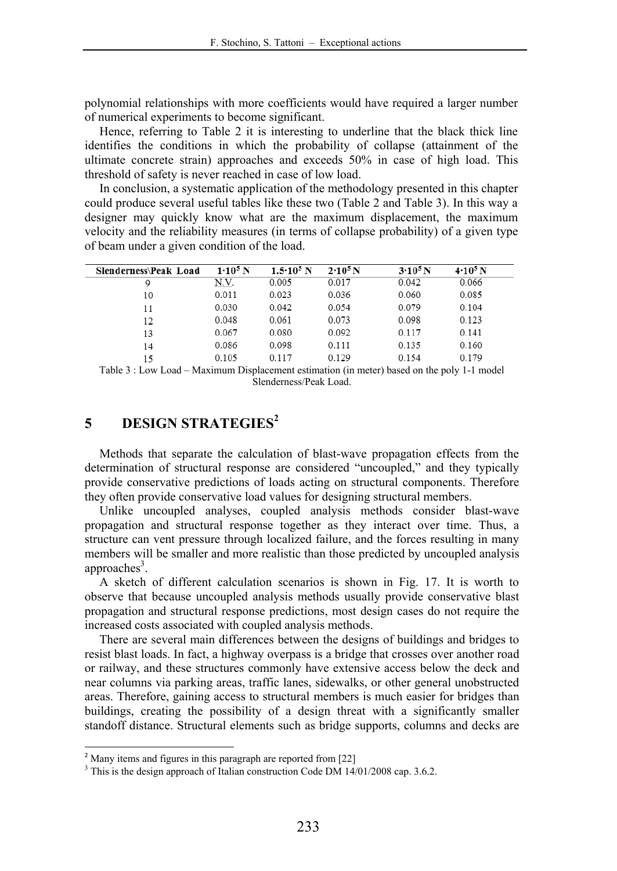polynomial relationships with more coefficients would have required a larger number of numerical experiments to become significant.

Hence, referring to Table 2 it is interesting to underline that the black thick line identifies the conditions in which the probability of collapse (attainment of the ultimate concrete strain) approaches and exceeds 50% in case of high load. This threshold of safety is never reached in case of low load.

In conclusion, a systematic application of the methodology presented in this chapter could produce several useful tables like these two (Table 2 and Table 3). In this way a designer may quickly know what are the maximum displacement, the maximum velocity and the reliability measures (in terms of collapse probability) of a given type of beam under a given condition of the load.

| Slenderness\Peak Load | $1.10^5$ N | $1.5 \cdot 10^5$ N | $2.10^5$ N | $3.10^5$ N | $4.10^5$ N |
|-----------------------|------------|--------------------|------------|------------|------------|
| 9                     | N.V.       | 0.005              | 0.017      | 0.042      | 0.066      |
| 10                    | 0.011      | 0.023              | 0.036      | 0.060      | 0.085      |
| 11                    | 0.030      | 0.042              | 0.054      | 0.079      | 0.104      |
| 12                    | 0.048      | 0.061              | 0.073      | 0.098      | 0.123      |
| 13                    | 0.067      | 0.080              | 0.092      | 0.117      | 0.141      |
| 14                    | 0.086      | 0.098              | 0.111      | 0.135      | 0.160      |
| 15                    | 0.105      | 0.117              | 0.129      | 0.154      | 0.179      |

Table 3 : Low Load – Maximum Displacement estimation (in meter) based on the poly 1-1 model Slenderness/Peak Load.

# **5 DESIGN STRATEGIES<sup>2</sup>**

Methods that separate the calculation of blast-wave propagation effects from the determination of structural response are considered "uncoupled," and they typically provide conservative predictions of loads acting on structural components. Therefore they often provide conservative load values for designing structural members.

Unlike uncoupled analyses, coupled analysis methods consider blast-wave propagation and structural response together as they interact over time. Thus, a structure can vent pressure through localized failure, and the forces resulting in many members will be smaller and more realistic than those predicted by uncoupled analysis approaches<sup>3</sup>.

A sketch of different calculation scenarios is shown in Fig. 17. It is worth to observe that because uncoupled analysis methods usually provide conservative blast propagation and structural response predictions, most design cases do not require the increased costs associated with coupled analysis methods.

There are several main differences between the designs of buildings and bridges to resist blast loads. In fact, a highway overpass is a bridge that crosses over another road or railway, and these structures commonly have extensive access below the deck and near columns via parking areas, traffic lanes, sidewalks, or other general unobstructed areas. Therefore, gaining access to structural members is much easier for bridges than buildings, creating the possibility of a design threat with a significantly smaller standoff distance. Structural elements such as bridge supports, columns and decks are

Many items and figures in this paragraph are reported from [22]

<sup>&</sup>lt;sup>3</sup> This is the design approach of Italian construction Code DM 14/01/2008 cap. 3.6.2.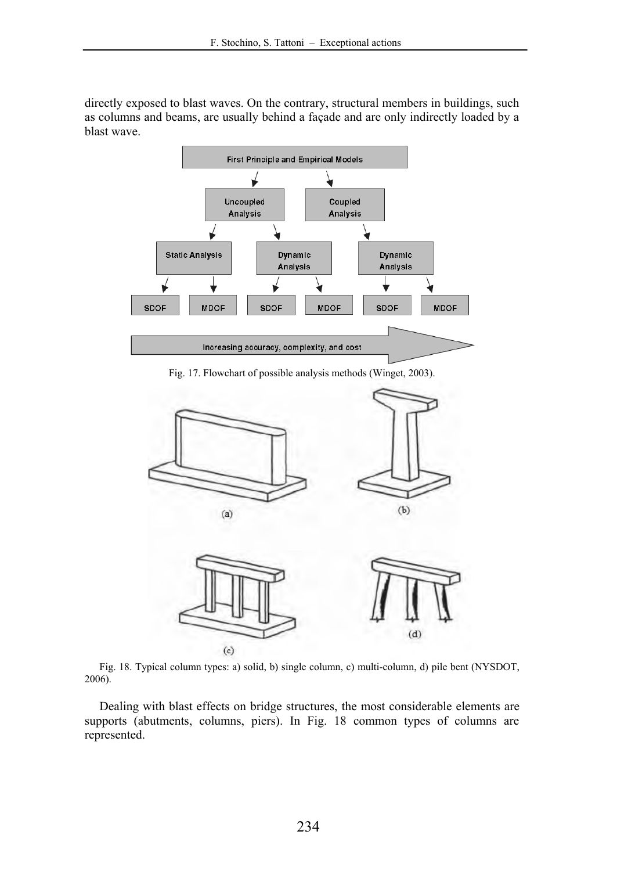directly exposed to blast waves. On the contrary, structural members in buildings, such as columns and beams, are usually behind a façade and are only indirectly loaded by a blast wave.



Fig. 17. Flowchart of possible analysis methods (Winget, 2003).



Fig. 18. Typical column types: a) solid, b) single column, c) multi-column, d) pile bent (NYSDOT, 2006).

Dealing with blast effects on bridge structures, the most considerable elements are supports (abutments, columns, piers). In Fig. 18 common types of columns are represented.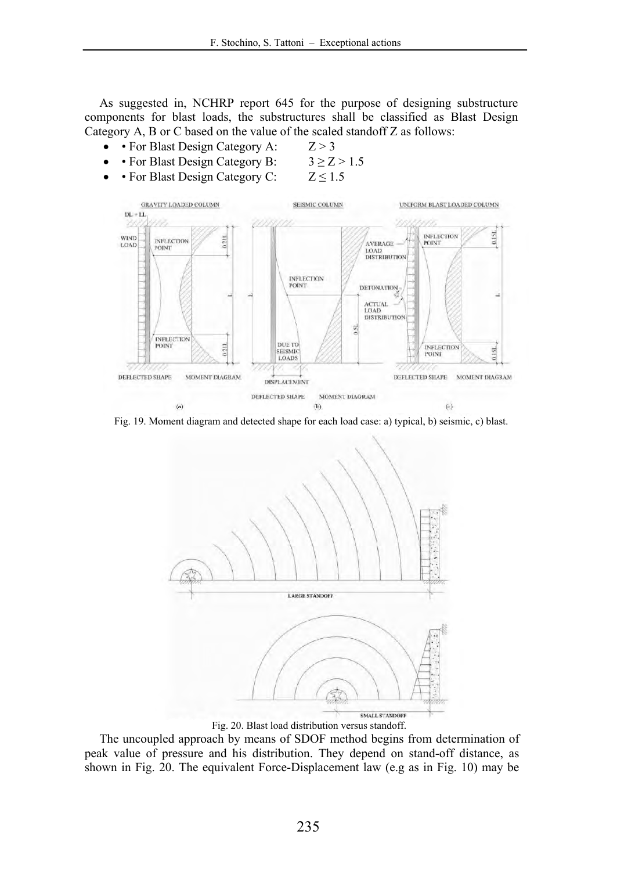As suggested in, NCHRP report 645 for the purpose of designing substructure components for blast loads, the substructures shall be classified as Blast Design Category A, B or C based on the value of the scaled standoff Z as follows:

- For Blast Design Category A:  $Z > 3$ 
	- For Blast Design Category B:  $3 \ge Z > 1.5$
- For Blast Design Category C:  $Z \le 1.5$



Fig. 19. Moment diagram and detected shape for each load case: a) typical, b) seismic, c) blast.



Fig. 20. Blast load distribution versus standoff.

The uncoupled approach by means of SDOF method begins from determination of peak value of pressure and his distribution. They depend on stand-off distance, as shown in Fig. 20. The equivalent Force-Displacement law (e.g as in Fig. 10) may be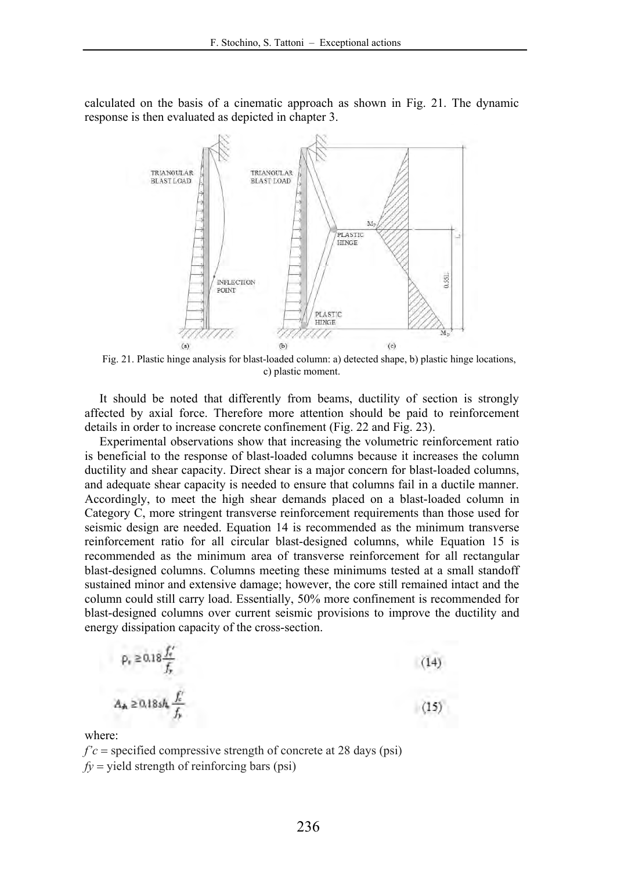calculated on the basis of a cinematic approach as shown in Fig. 21. The dynamic response is then evaluated as depicted in chapter 3.



Fig. 21. Plastic hinge analysis for blast-loaded column: a) detected shape, b) plastic hinge locations, c) plastic moment.

It should be noted that differently from beams, ductility of section is strongly affected by axial force. Therefore more attention should be paid to reinforcement details in order to increase concrete confinement (Fig. 22 and Fig. 23).

Experimental observations show that increasing the volumetric reinforcement ratio is beneficial to the response of blast-loaded columns because it increases the column ductility and shear capacity. Direct shear is a major concern for blast-loaded columns, and adequate shear capacity is needed to ensure that columns fail in a ductile manner. Accordingly, to meet the high shear demands placed on a blast-loaded column in Category C, more stringent transverse reinforcement requirements than those used for seismic design are needed. Equation 14 is recommended as the minimum transverse reinforcement ratio for all circular blast-designed columns, while Equation 15 is recommended as the minimum area of transverse reinforcement for all rectangular blast-designed columns. Columns meeting these minimums tested at a small standoff sustained minor and extensive damage; however, the core still remained intact and the column could still carry load. Essentially, 50% more confinement is recommended for blast-designed columns over current seismic provisions to improve the ductility and energy dissipation capacity of the cross-section.

$$
p_e \ge 0.18 \frac{f'_e}{f_p}
$$
\n
$$
A_A \ge 0.18 sh \frac{f'_e}{f_p}
$$
\n
$$
(15)
$$

where:

 $f'c$  = specified compressive strength of concrete at 28 days (psi)  $f_y$  = yield strength of reinforcing bars (psi)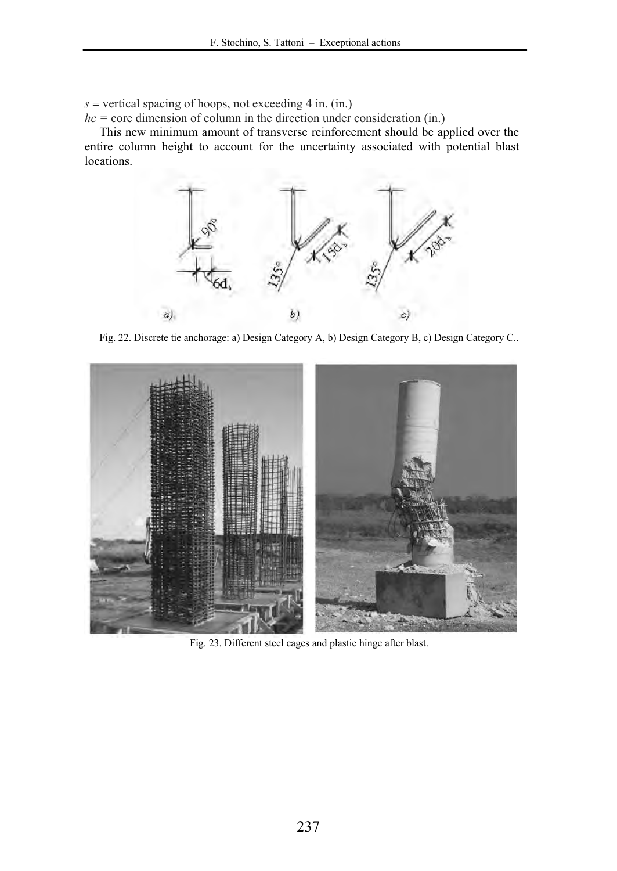$s$  = vertical spacing of hoops, not exceeding 4 in. (in.)

*hc =* core dimension of column in the direction under consideration (in.)

This new minimum amount of transverse reinforcement should be applied over the entire column height to account for the uncertainty associated with potential blast locations.



Fig. 22. Discrete tie anchorage: a) Design Category A, b) Design Category B, c) Design Category C..



Fig. 23. Different steel cages and plastic hinge after blast.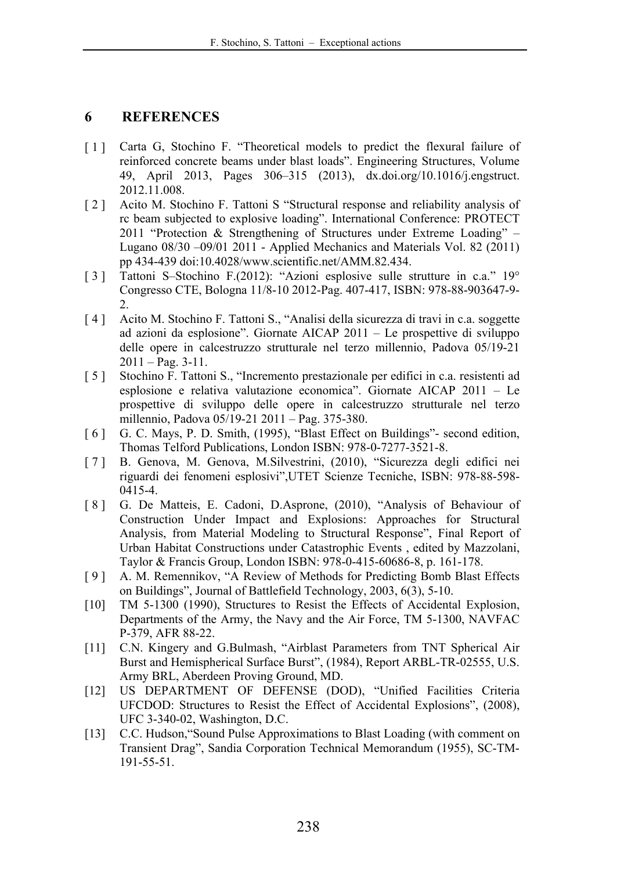## **6 REFERENCES**

- [1] Carta G, Stochino F. "Theoretical models to predict the flexural failure of reinforced concrete beams under blast loads". Engineering Structures, Volume 49, April 2013, Pages 306–315 (2013), dx.doi.org/10.1016/j.engstruct. 2012.11.008.
- [ 2 ] Acito M. Stochino F. Tattoni S "Structural response and reliability analysis of rc beam subjected to explosive loading". International Conference: PROTECT 2011 "Protection & Strengthening of Structures under Extreme Loading" – Lugano 08/30 –09/01 2011 - Applied Mechanics and Materials Vol. 82 (2011) pp 434-439 doi:10.4028/www.scientific.net/AMM.82.434.
- [ 3 ] Tattoni S–Stochino F.(2012): "Azioni esplosive sulle strutture in c.a." 19° Congresso CTE, Bologna 11/8-10 2012-Pag. 407-417, ISBN: 978-88-903647-9- 2.
- [ 4 ] Acito M. Stochino F. Tattoni S., "Analisi della sicurezza di travi in c.a. soggette ad azioni da esplosione". Giornate AICAP 2011 – Le prospettive di sviluppo delle opere in calcestruzzo strutturale nel terzo millennio, Padova 05/19-21  $2011 - Pag. 3-11.$
- [ 5 ] Stochino F. Tattoni S., "Incremento prestazionale per edifici in c.a. resistenti ad esplosione e relativa valutazione economica". Giornate AICAP 2011 – Le prospettive di sviluppo delle opere in calcestruzzo strutturale nel terzo millennio, Padova 05/19-21 2011 – Pag. 375-380.
- [ 6 ] G. C. Mays, P. D. Smith, (1995), "Blast Effect on Buildings"- second edition, Thomas Telford Publications, London ISBN: 978-0-7277-3521-8.
- [ 7 ] B. Genova, M. Genova, M.Silvestrini, (2010), "Sicurezza degli edifici nei riguardi dei fenomeni esplosivi",UTET Scienze Tecniche, ISBN: 978-88-598- 0415-4.
- [ 8 ] G. De Matteis, E. Cadoni, D.Asprone, (2010), "Analysis of Behaviour of Construction Under Impact and Explosions: Approaches for Structural Analysis, from Material Modeling to Structural Response", Final Report of Urban Habitat Constructions under Catastrophic Events , edited by Mazzolani, Taylor & Francis Group, London ISBN: 978-0-415-60686-8, p. 161-178.
- [ 9 ] A. M. Remennikov, "A Review of Methods for Predicting Bomb Blast Effects on Buildings", Journal of Battlefield Technology, 2003, 6(3), 5-10.
- [10] TM 5-1300 (1990), Structures to Resist the Effects of Accidental Explosion, Departments of the Army, the Navy and the Air Force, TM 5-1300, NAVFAC P-379, AFR 88-22.
- [11] C.N. Kingery and G.Bulmash, "Airblast Parameters from TNT Spherical Air Burst and Hemispherical Surface Burst", (1984), Report ARBL-TR-02555, U.S. Army BRL, Aberdeen Proving Ground, MD.
- [12] US DEPARTMENT OF DEFENSE (DOD), "Unified Facilities Criteria UFCDOD: Structures to Resist the Effect of Accidental Explosions", (2008), UFC 3-340-02, Washington, D.C.
- [13] C.C. Hudson, "Sound Pulse Approximations to Blast Loading (with comment on Transient Drag", Sandia Corporation Technical Memorandum (1955), SC-TM-191-55-51.